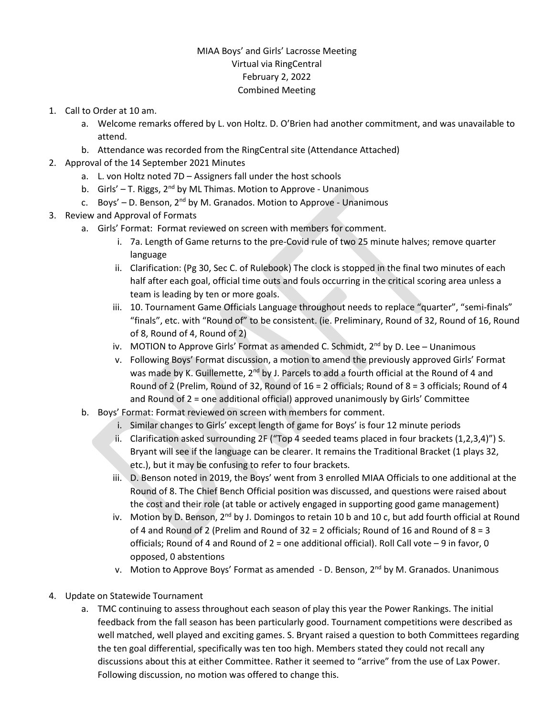## MIAA Boys' and Girls' Lacrosse Meeting Virtual via RingCentral February 2, 2022 Combined Meeting

- 1. Call to Order at 10 am.
	- a. Welcome remarks offered by L. von Holtz. D. O'Brien had another commitment, and was unavailable to attend.
	- b. Attendance was recorded from the RingCentral site (Attendance Attached)
- 2. Approval of the 14 September 2021 Minutes
	- a. L. von Holtz noted 7D Assigners fall under the host schools
	- b. Girls'  $-$  T. Riggs,  $2<sup>nd</sup>$  by ML Thimas. Motion to Approve Unanimous
	- c. Boys' D. Benson,  $2^{nd}$  by M. Granados. Motion to Approve Unanimous
- 3. Review and Approval of Formats
	- a. Girls' Format: Format reviewed on screen with members for comment.
		- i. 7a. Length of Game returns to the pre-Covid rule of two 25 minute halves; remove quarter language
		- ii. Clarification: (Pg 30, Sec C. of Rulebook) The clock is stopped in the final two minutes of each half after each goal, official time outs and fouls occurring in the critical scoring area unless a team is leading by ten or more goals.
		- iii. 10. Tournament Game Officials Language throughout needs to replace "quarter", "semi-finals" "finals", etc. with "Round of" to be consistent. (ie. Preliminary, Round of 32, Round of 16, Round of 8, Round of 4, Round of 2)
		- iv. MOTION to Approve Girls' Format as amended C. Schmidt, 2<sup>nd</sup> by D. Lee Unanimous
		- v. Following Boys' Format discussion, a motion to amend the previously approved Girls' Format was made by K. Guillemette, 2<sup>nd</sup> by J. Parcels to add a fourth official at the Round of 4 and Round of 2 (Prelim, Round of 32, Round of 16 = 2 officials; Round of 8 = 3 officials; Round of 4 and Round of 2 = one additional official) approved unanimously by Girls' Committee
	- b. Boys' Format: Format reviewed on screen with members for comment.
		- i. Similar changes to Girls' except length of game for Boys' is four 12 minute periods
		- ii. Clarification asked surrounding 2F ("Top 4 seeded teams placed in four brackets (1,2,3,4)") S. Bryant will see if the language can be clearer. It remains the Traditional Bracket (1 plays 32, etc.), but it may be confusing to refer to four brackets.
		- iii. D. Benson noted in 2019, the Boys' went from 3 enrolled MIAA Officials to one additional at the Round of 8. The Chief Bench Official position was discussed, and questions were raised about the cost and their role (at table or actively engaged in supporting good game management)
		- iv. Motion by D. Benson, 2<sup>nd</sup> by J. Domingos to retain 10 b and 10 c, but add fourth official at Round of 4 and Round of 2 (Prelim and Round of  $32 = 2$  officials; Round of 16 and Round of  $8 = 3$ officials; Round of 4 and Round of 2 = one additional official). Roll Call vote – 9 in favor, 0 opposed, 0 abstentions
		- v. Motion to Approve Boys' Format as amended D. Benson, 2<sup>nd</sup> by M. Granados. Unanimous
- 4. Update on Statewide Tournament
	- a. TMC continuing to assess throughout each season of play this year the Power Rankings. The initial feedback from the fall season has been particularly good. Tournament competitions were described as well matched, well played and exciting games. S. Bryant raised a question to both Committees regarding the ten goal differential, specifically was ten too high. Members stated they could not recall any discussions about this at either Committee. Rather it seemed to "arrive" from the use of Lax Power. Following discussion, no motion was offered to change this.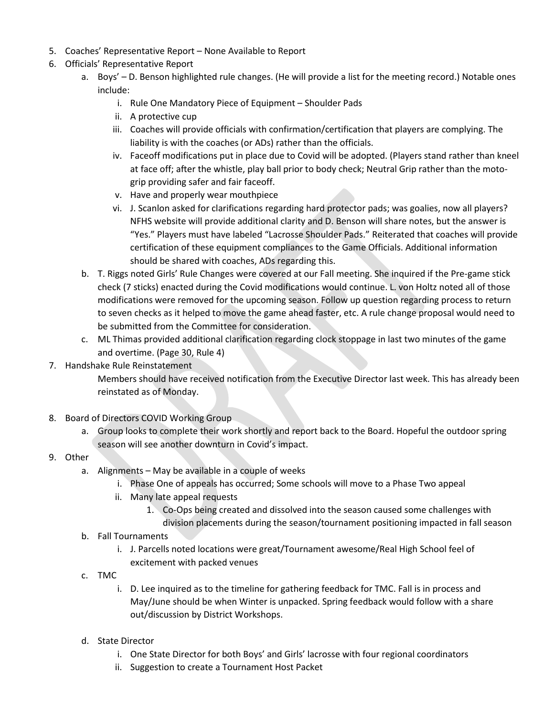- 5. Coaches' Representative Report None Available to Report
- 6. Officials' Representative Report
	- a. Boys' D. Benson highlighted rule changes. (He will provide a list for the meeting record.) Notable ones include:
		- i. Rule One Mandatory Piece of Equipment Shoulder Pads
		- ii. A protective cup
		- iii. Coaches will provide officials with confirmation/certification that players are complying. The liability is with the coaches (or ADs) rather than the officials.
		- iv. Faceoff modifications put in place due to Covid will be adopted. (Players stand rather than kneel at face off; after the whistle, play ball prior to body check; Neutral Grip rather than the motogrip providing safer and fair faceoff.
		- v. Have and properly wear mouthpiece
		- vi. J. Scanlon asked for clarifications regarding hard protector pads; was goalies, now all players? NFHS website will provide additional clarity and D. Benson will share notes, but the answer is "Yes." Players must have labeled "Lacrosse Shoulder Pads." Reiterated that coaches will provide certification of these equipment compliances to the Game Officials. Additional information should be shared with coaches, ADs regarding this.
	- b. T. Riggs noted Girls' Rule Changes were covered at our Fall meeting. She inquired if the Pre-game stick check (7 sticks) enacted during the Covid modifications would continue. L. von Holtz noted all of those modifications were removed for the upcoming season. Follow up question regarding process to return to seven checks as it helped to move the game ahead faster, etc. A rule change proposal would need to be submitted from the Committee for consideration.
	- c. ML Thimas provided additional clarification regarding clock stoppage in last two minutes of the game and overtime. (Page 30, Rule 4)
- 7. Handshake Rule Reinstatement

Members should have received notification from the Executive Director last week. This has already been reinstated as of Monday.

- 8. Board of Directors COVID Working Group
	- a. Group looks to complete their work shortly and report back to the Board. Hopeful the outdoor spring season will see another downturn in Covid's impact.
- 9. Other
	- a. Alignments May be available in a couple of weeks
		- i. Phase One of appeals has occurred; Some schools will move to a Phase Two appeal
		- ii. Many late appeal requests
			- 1. Co-Ops being created and dissolved into the season caused some challenges with

division placements during the season/tournament positioning impacted in fall season

- b. Fall Tournaments
	- i. J. Parcells noted locations were great/Tournament awesome/Real High School feel of excitement with packed venues
- c. TMC
	- i. D. Lee inquired as to the timeline for gathering feedback for TMC. Fall is in process and May/June should be when Winter is unpacked. Spring feedback would follow with a share out/discussion by District Workshops.
- d. State Director
	- i. One State Director for both Boys' and Girls' lacrosse with four regional coordinators
	- ii. Suggestion to create a Tournament Host Packet